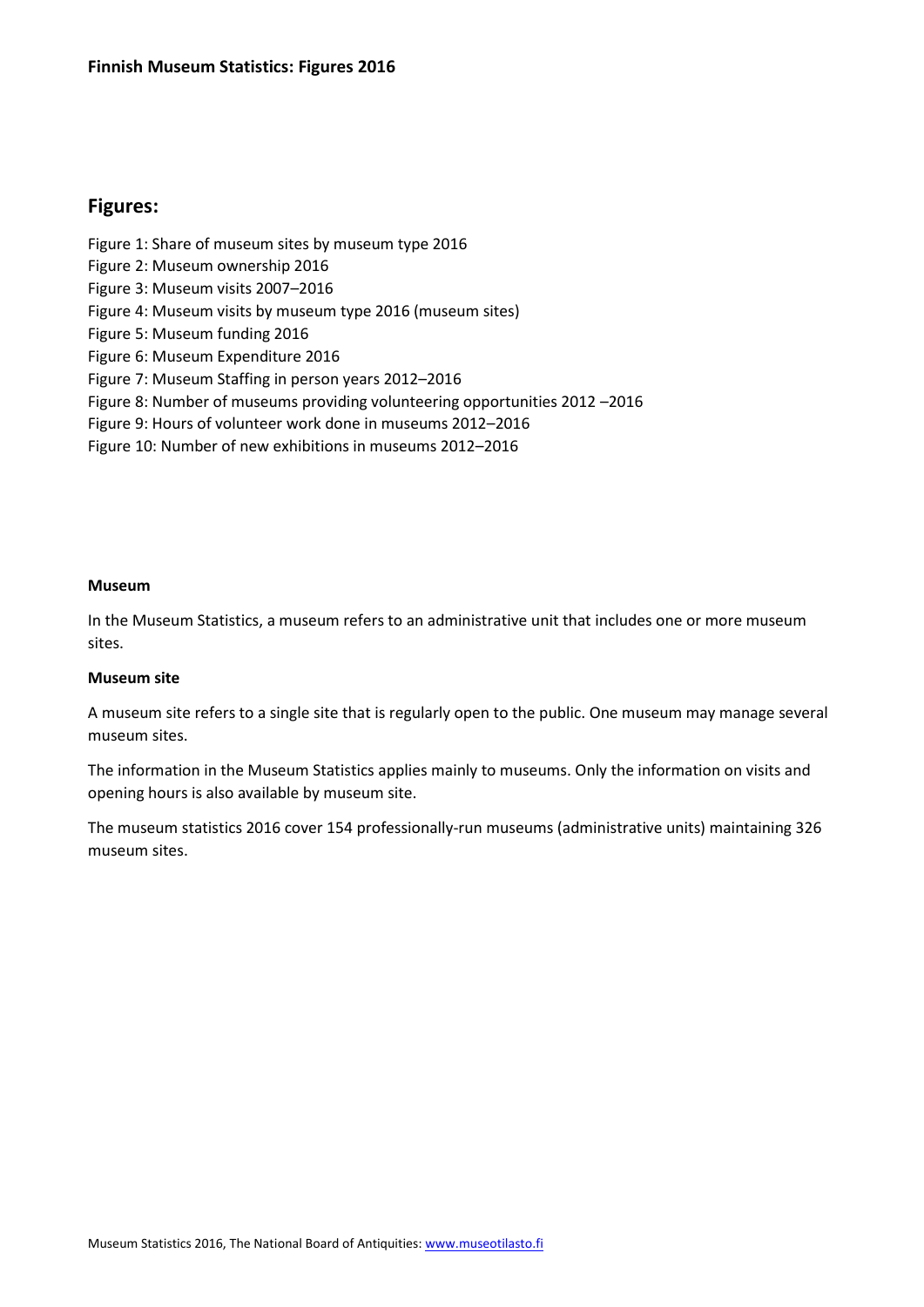# **Figures:**

Figure 1: Share of museum sites by museum type 2016 Figure 2: Museum ownership 2016 Figure 3: Museum visits 2007–2016 Figure 4: Museum visits by museum type 2016 (museum sites) Figure 5: Museum funding 2016 Figure 6: Museum Expenditure 2016 Figure 7: Museum Staffing in person years 2012–2016 Figure 8: Number of museums providing volunteering opportunities 2012 –2016 Figure 9: Hours of volunteer work done in museums 2012–2016 Figure 10: Number of new exhibitions in museums 2012–2016

#### **Museum**

In the Museum Statistics, a museum refers to an administrative unit that includes one or more museum sites.

#### **Museum site**

A museum site refers to a single site that is regularly open to the public. One museum may manage several museum sites.

The information in the Museum Statistics applies mainly to museums. Only the information on visits and opening hours is also available by museum site.

The museum statistics 2016 cover 154 professionally-run museums (administrative units) maintaining 326 museum sites.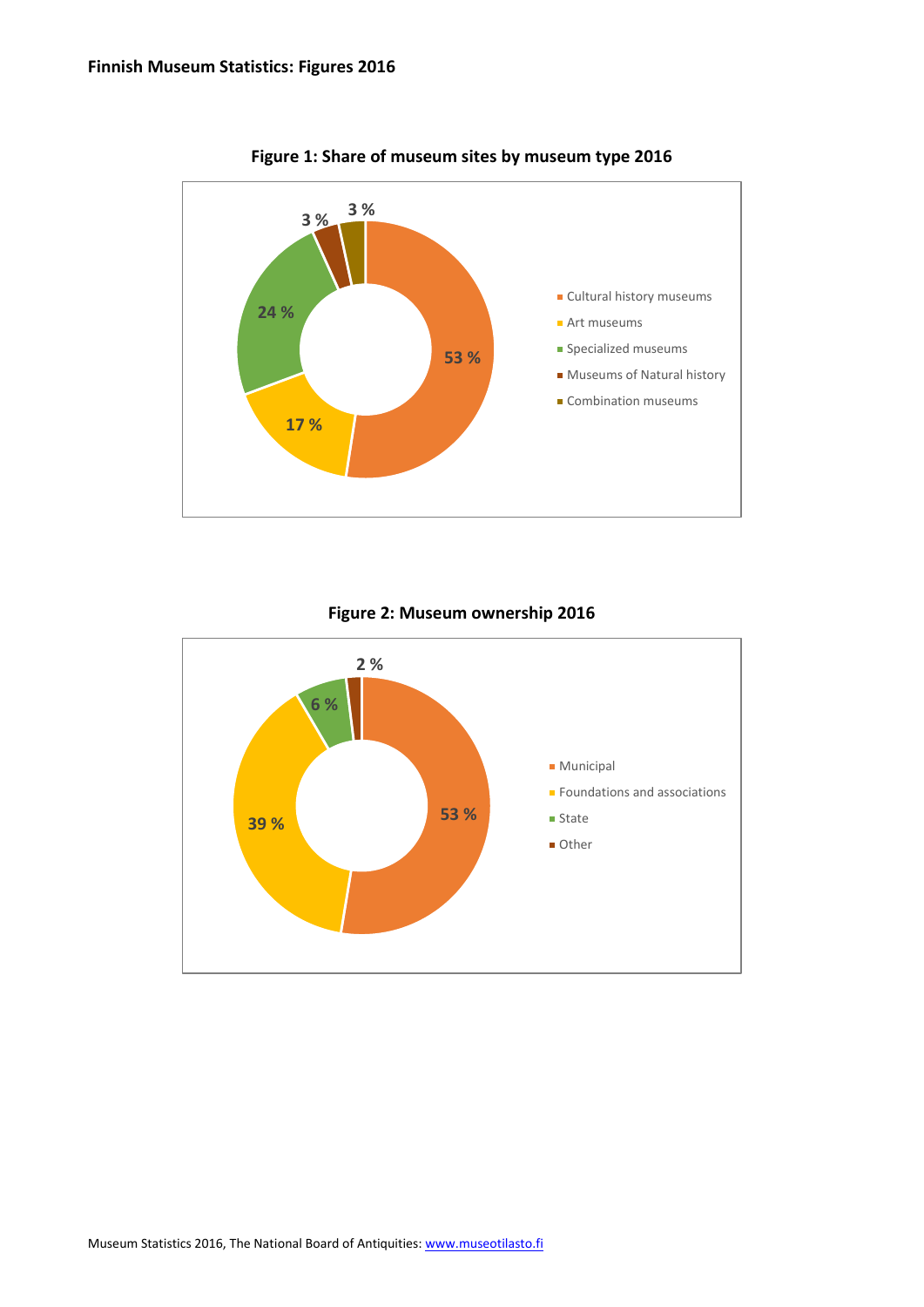

**Figure 1: Share of museum sites by museum type 2016**

**Figure 2: Museum ownership 2016**

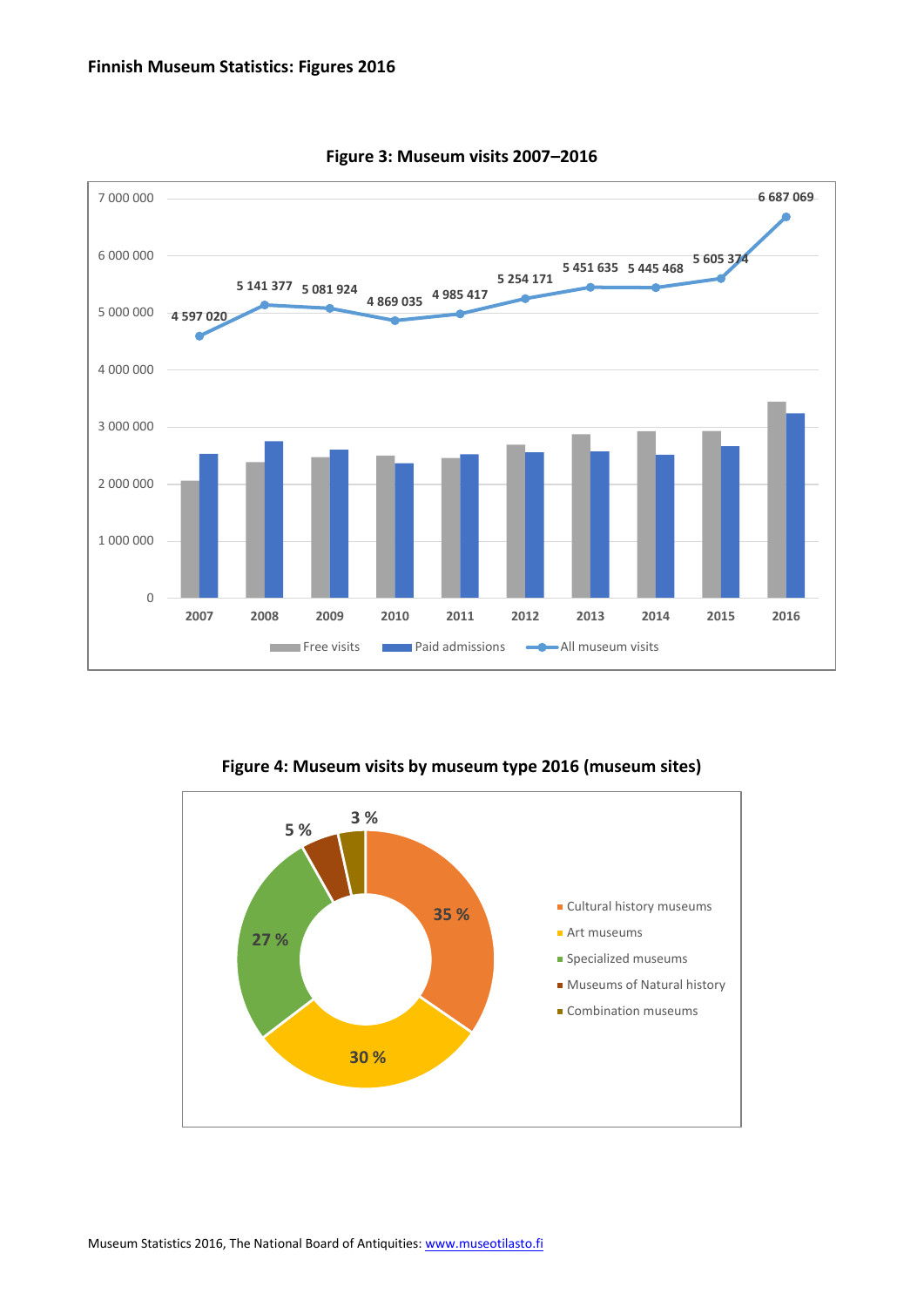

**Figure 3: Museum visits 2007–2016**

**Figure 4: Museum visits by museum type 2016 (museum sites)**

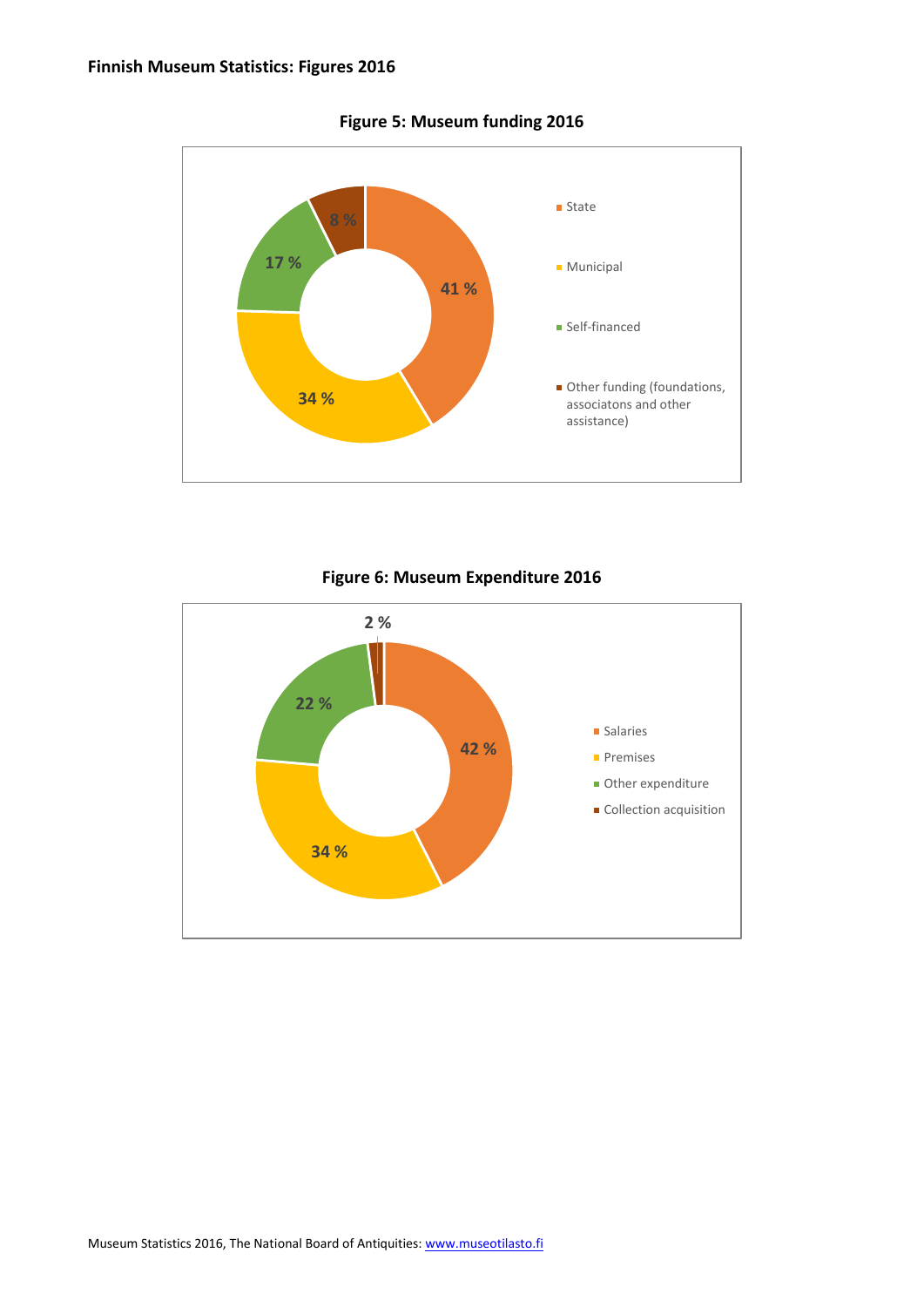

**Figure 5: Museum funding 2016**

**Figure 6: Museum Expenditure 2016**

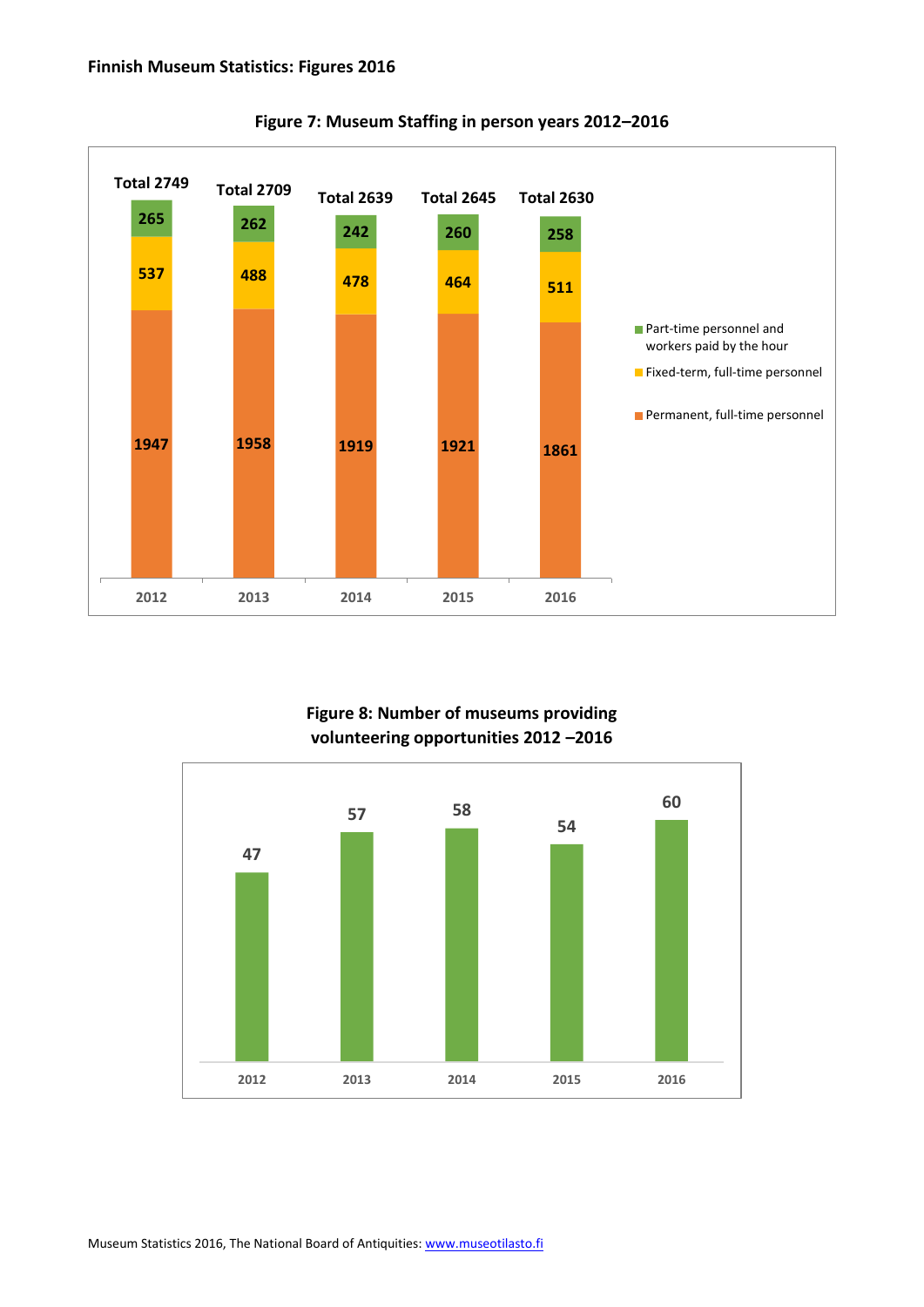

**Figure 7: Museum Staffing in person years 2012–2016**

# **Figure 8: Number of museums providing volunteering opportunities 2012 –2016**